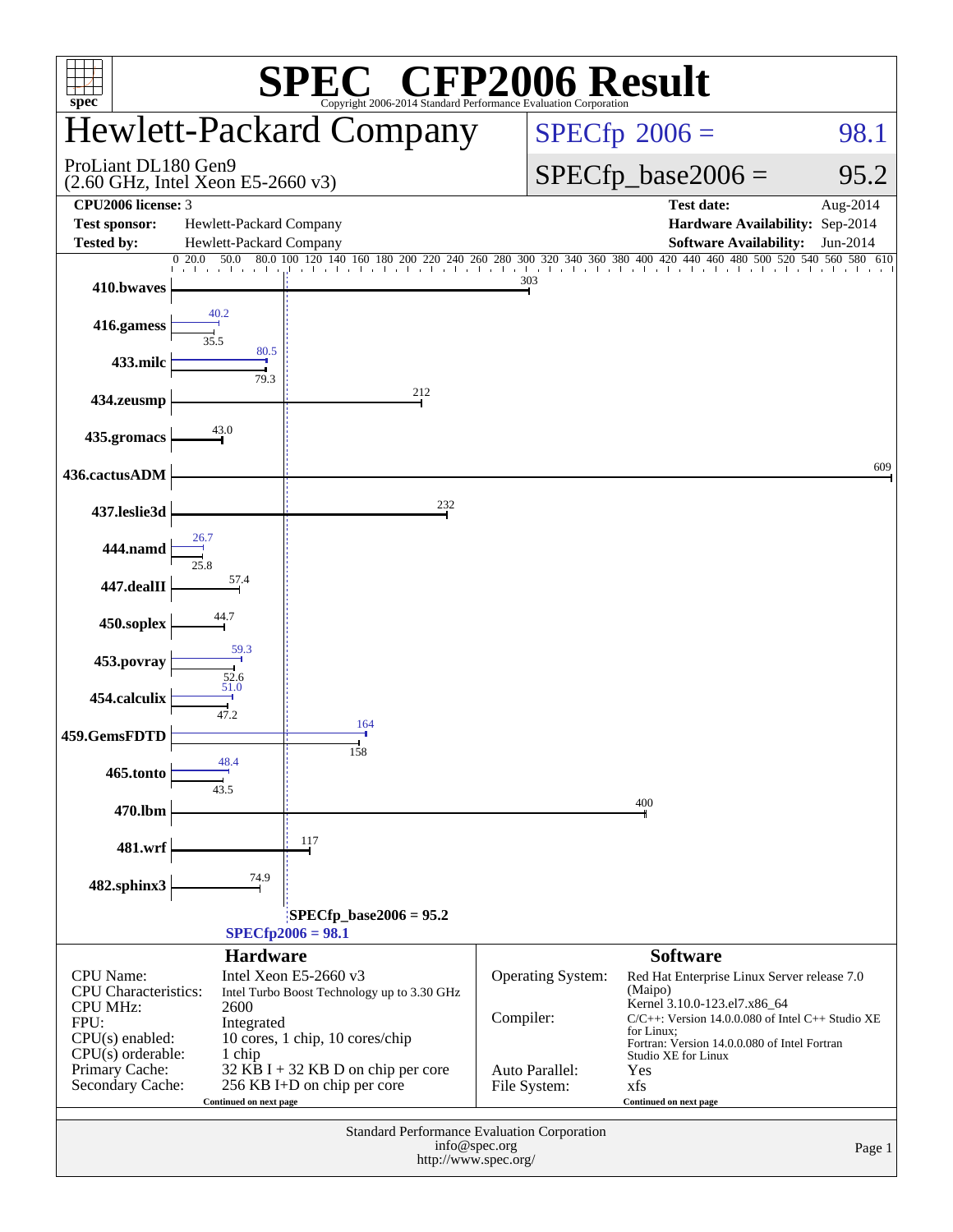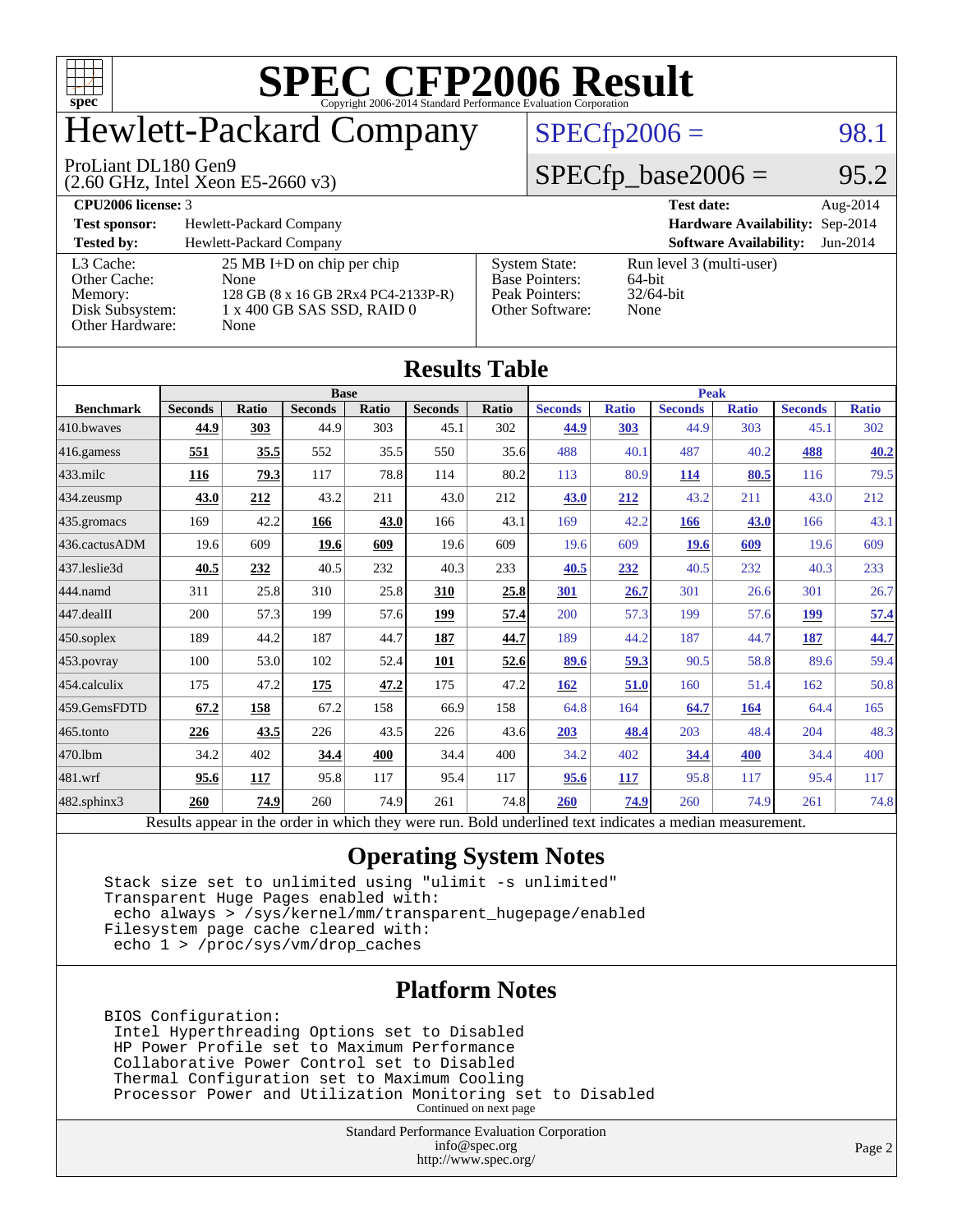

## Hewlett-Packard Company

#### ProLiant DL180 Gen9

(2.60 GHz, Intel Xeon E5-2660 v3)

 $SPECfp2006 = 98.1$  $SPECfp2006 = 98.1$ 

#### $SPECfp\_base2006 = 95.2$

#### **[CPU2006 license:](http://www.spec.org/auto/cpu2006/Docs/result-fields.html#CPU2006license)** 3 **[Test date:](http://www.spec.org/auto/cpu2006/Docs/result-fields.html#Testdate)** Aug-2014 **[Test sponsor:](http://www.spec.org/auto/cpu2006/Docs/result-fields.html#Testsponsor)** Hewlett-Packard Company **[Hardware Availability:](http://www.spec.org/auto/cpu2006/Docs/result-fields.html#HardwareAvailability)** Sep-2014 **[Tested by:](http://www.spec.org/auto/cpu2006/Docs/result-fields.html#Testedby)** Hewlett-Packard Company **[Software Availability:](http://www.spec.org/auto/cpu2006/Docs/result-fields.html#SoftwareAvailability)** Jun-2014 [L3 Cache:](http://www.spec.org/auto/cpu2006/Docs/result-fields.html#L3Cache) 25 MB I+D on chip per chip<br>Other Cache: None [Other Cache:](http://www.spec.org/auto/cpu2006/Docs/result-fields.html#OtherCache) [Memory:](http://www.spec.org/auto/cpu2006/Docs/result-fields.html#Memory) 128 GB (8 x 16 GB 2Rx4 PC4-2133P-R) [Disk Subsystem:](http://www.spec.org/auto/cpu2006/Docs/result-fields.html#DiskSubsystem) 1 x 400 GB SAS SSD, RAID 0 [Other Hardware:](http://www.spec.org/auto/cpu2006/Docs/result-fields.html#OtherHardware) None [System State:](http://www.spec.org/auto/cpu2006/Docs/result-fields.html#SystemState) Run level 3 (multi-user)<br>Base Pointers: 64-bit [Base Pointers:](http://www.spec.org/auto/cpu2006/Docs/result-fields.html#BasePointers) 64-bit<br>Peak Pointers: 32/64-bit [Peak Pointers:](http://www.spec.org/auto/cpu2006/Docs/result-fields.html#PeakPointers) [Other Software:](http://www.spec.org/auto/cpu2006/Docs/result-fields.html#OtherSoftware) None

| <b>Results Table</b>   |                                                                                                          |              |                |       |                |       |                |              |                |              |                |              |
|------------------------|----------------------------------------------------------------------------------------------------------|--------------|----------------|-------|----------------|-------|----------------|--------------|----------------|--------------|----------------|--------------|
| <b>Benchmark</b>       | <b>Base</b>                                                                                              |              |                |       |                |       | <b>Peak</b>    |              |                |              |                |              |
|                        | <b>Seconds</b>                                                                                           | <b>Ratio</b> | <b>Seconds</b> | Ratio | <b>Seconds</b> | Ratio | <b>Seconds</b> | <b>Ratio</b> | <b>Seconds</b> | <b>Ratio</b> | <b>Seconds</b> | <b>Ratio</b> |
| 410.bwayes             | 44.9                                                                                                     | 303          | 44.9           | 303   | 45.1           | 302   | 44.9           | 303          | 44.9           | 303          | 45.1           | 302          |
| 416.gamess             | 551                                                                                                      | 35.5         | 552            | 35.5  | 550            | 35.6  | 488            | 40.1         | 487            | 40.2         | 488            | 40.2         |
| $433$ .milc            | 116                                                                                                      | 79.3         | 117            | 78.8  | 114            | 80.2  | 113            | 80.9         | 114            | 80.5         | 116            | 79.5         |
| $434$ . zeusmp         | 43.0                                                                                                     | 212          | 43.2           | 211   | 43.0           | 212   | 43.0           | 212          | 43.2           | 211          | 43.0           | 212          |
| $435.$ gromacs         | 169                                                                                                      | 42.2         | 166            | 43.0  | 166            | 43.1  | 169            | 42.2         | 166            | 43.0         | 166            | 43.1         |
| 436.cactusADM          | 19.6                                                                                                     | 609          | 19.6           | 609   | 19.6           | 609   | 19.6           | 609          | 19.6           | 609          | 19.6           | 609          |
| 437.leslie3d           | 40.5                                                                                                     | 232          | 40.5           | 232   | 40.3           | 233   | 40.5           | 232          | 40.5           | 232          | 40.3           | 233          |
| 444.namd               | 311                                                                                                      | 25.8         | 310            | 25.8  | 310            | 25.8  | 301            | 26.7         | 301            | 26.6         | 301            | 26.7         |
| $ 447 \text{.}$ dealII | 200                                                                                                      | 57.3         | 199            | 57.6  | 199            | 57.4  | 200            | 57.3         | 199            | 57.6         | 199            | 57.4         |
| $450$ .soplex          | 189                                                                                                      | 44.2         | 187            | 44.7  | 187            | 44.7  | 189            | 44.2         | 187            | 44.7         | 187            | 44.7         |
| $453$ .povray          | 100                                                                                                      | 53.0         | 102            | 52.4  | 101            | 52.6  | 89.6           | 59.3         | 90.5           | 58.8         | 89.6           | 59.4         |
| $ 454$ .calculix       | 175                                                                                                      | 47.2         | 175            | 47.2  | 175            | 47.2  | 162            | 51.0         | 160            | 51.4         | 162            | 50.8         |
| 459.GemsFDTD           | 67.2                                                                                                     | 158          | 67.2           | 158   | 66.9           | 158   | 64.8           | 164          | 64.7           | 164          | 64.4           | 165          |
| 465.tonto              | 226                                                                                                      | 43.5         | 226            | 43.5  | 226            | 43.6  | 203            | 48.4         | 203            | 48.4         | 204            | 48.3         |
| 470.1bm                | 34.2                                                                                                     | 402          | 34.4           | 400   | 34.4           | 400   | 34.2           | 402          | 34.4           | 400          | 34.4           | 400          |
| 481.wrf                | 95.6                                                                                                     | 117          | 95.8           | 117   | 95.4           | 117   | 95.6           | 117          | 95.8           | 117          | 95.4           | 117          |
| $482$ .sphinx $3$      | 260                                                                                                      | 74.9         | 260            | 74.9  | 261            | 74.8  | 260            | 74.9         | 260            | 74.9         | 261            | 74.8         |
|                        | Results appear in the order in which they were run. Bold underlined text indicates a median measurement. |              |                |       |                |       |                |              |                |              |                |              |

#### **[Operating System Notes](http://www.spec.org/auto/cpu2006/Docs/result-fields.html#OperatingSystemNotes)**

 Stack size set to unlimited using "ulimit -s unlimited" Transparent Huge Pages enabled with: echo always > /sys/kernel/mm/transparent\_hugepage/enabled Filesystem page cache cleared with: echo 1 > /proc/sys/vm/drop\_caches

#### **[Platform Notes](http://www.spec.org/auto/cpu2006/Docs/result-fields.html#PlatformNotes)**

 BIOS Configuration: Intel Hyperthreading Options set to Disabled HP Power Profile set to Maximum Performance Collaborative Power Control set to Disabled Thermal Configuration set to Maximum Cooling Processor Power and Utilization Monitoring set to Disabled Continued on next page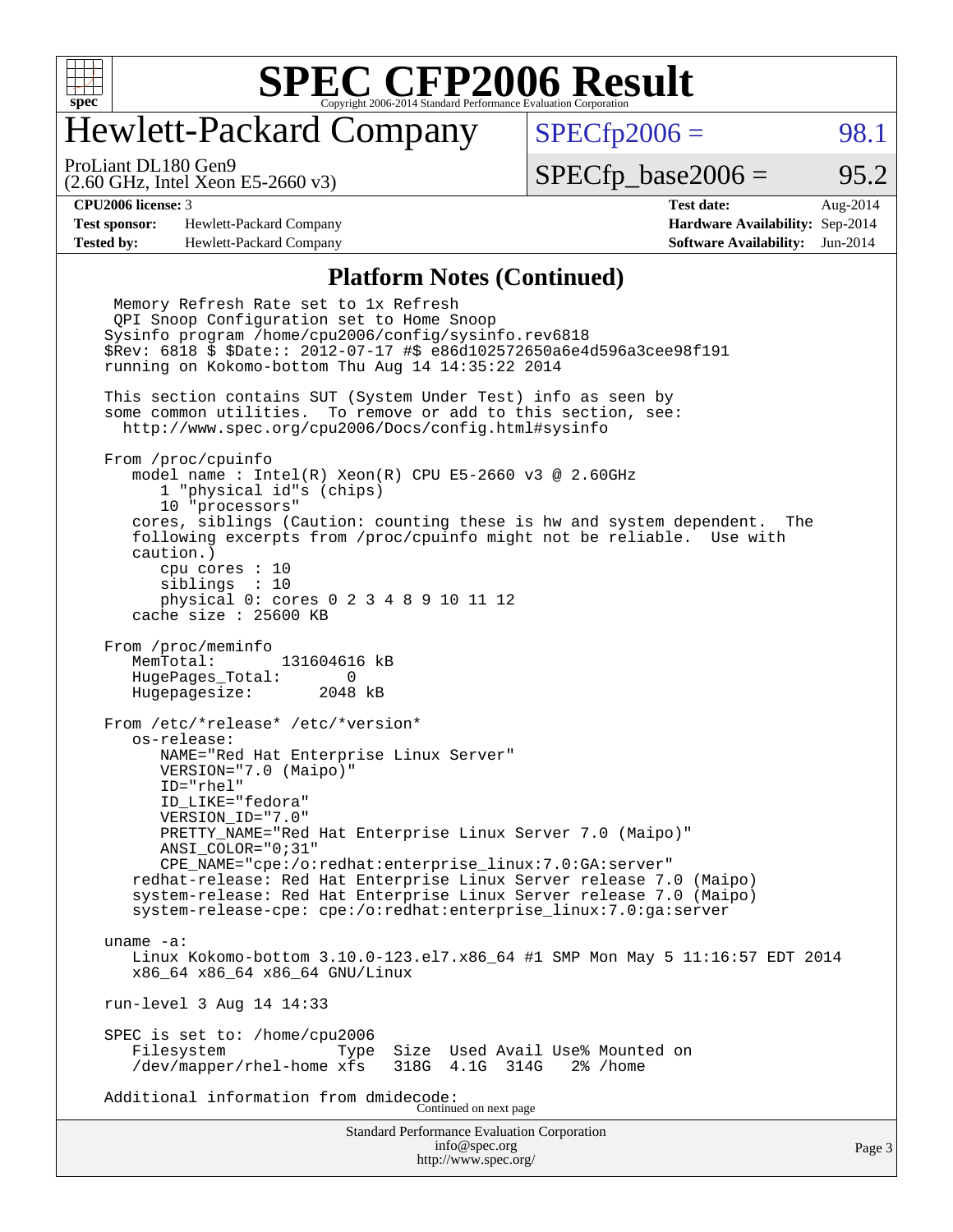

#### Hewlett-Packard Company

 $SPECTp2006 = 98.1$ 

(2.60 GHz, Intel Xeon E5-2660 v3) ProLiant DL180 Gen9

 $SPECTp\_base2006 = 95.2$ 

**[Test sponsor:](http://www.spec.org/auto/cpu2006/Docs/result-fields.html#Testsponsor)** Hewlett-Packard Company **[Hardware Availability:](http://www.spec.org/auto/cpu2006/Docs/result-fields.html#HardwareAvailability)** Sep-2014 **[Tested by:](http://www.spec.org/auto/cpu2006/Docs/result-fields.html#Testedby)** Hewlett-Packard Company **[Software Availability:](http://www.spec.org/auto/cpu2006/Docs/result-fields.html#SoftwareAvailability)** Jun-2014

**[CPU2006 license:](http://www.spec.org/auto/cpu2006/Docs/result-fields.html#CPU2006license)** 3 **[Test date:](http://www.spec.org/auto/cpu2006/Docs/result-fields.html#Testdate)** Aug-2014

#### **[Platform Notes \(Continued\)](http://www.spec.org/auto/cpu2006/Docs/result-fields.html#PlatformNotes)**

Standard Performance Evaluation Corporation [info@spec.org](mailto:info@spec.org) <http://www.spec.org/> Page 3 Memory Refresh Rate set to 1x Refresh QPI Snoop Configuration set to Home Snoop Sysinfo program /home/cpu2006/config/sysinfo.rev6818 \$Rev: 6818 \$ \$Date:: 2012-07-17 #\$ e86d102572650a6e4d596a3cee98f191 running on Kokomo-bottom Thu Aug 14 14:35:22 2014 This section contains SUT (System Under Test) info as seen by some common utilities. To remove or add to this section, see: <http://www.spec.org/cpu2006/Docs/config.html#sysinfo> From /proc/cpuinfo model name : Intel(R) Xeon(R) CPU E5-2660 v3 @ 2.60GHz 1 "physical id"s (chips) 10 "processors" cores, siblings (Caution: counting these is hw and system dependent. The following excerpts from /proc/cpuinfo might not be reliable. Use with caution.) cpu cores : 10 siblings : 10 physical 0: cores 0 2 3 4 8 9 10 11 12 cache size : 25600 KB From /proc/meminfo MemTotal: 131604616 kB HugePages\_Total: 0<br>Hugepagesize: 2048 kB Hugepagesize: From /etc/\*release\* /etc/\*version\* os-release: NAME="Red Hat Enterprise Linux Server" VERSION="7.0 (Maipo)" ID="rhel" ID\_LIKE="fedora" VERSION\_ID="7.0" PRETTY NAME="Red Hat Enterprise Linux Server 7.0 (Maipo)" ANSI\_COLOR="0;31" CPE\_NAME="cpe:/o:redhat:enterprise\_linux:7.0:GA:server" redhat-release: Red Hat Enterprise Linux Server release 7.0 (Maipo) system-release: Red Hat Enterprise Linux Server release 7.0 (Maipo) system-release-cpe: cpe:/o:redhat:enterprise\_linux:7.0:ga:server uname -a: Linux Kokomo-bottom 3.10.0-123.el7.x86\_64 #1 SMP Mon May 5 11:16:57 EDT 2014 x86\_64 x86\_64 x86\_64 GNU/Linux run-level 3 Aug 14 14:33 SPEC is set to: /home/cpu2006 Filesystem Type Size Used Avail Use% Mounted on<br>/dev/mapper/rhel-home xfs 318G 4.1G 314G 2% /home /dev/mapper/rhel-home xfs Additional information from dmidecode: Continued on next page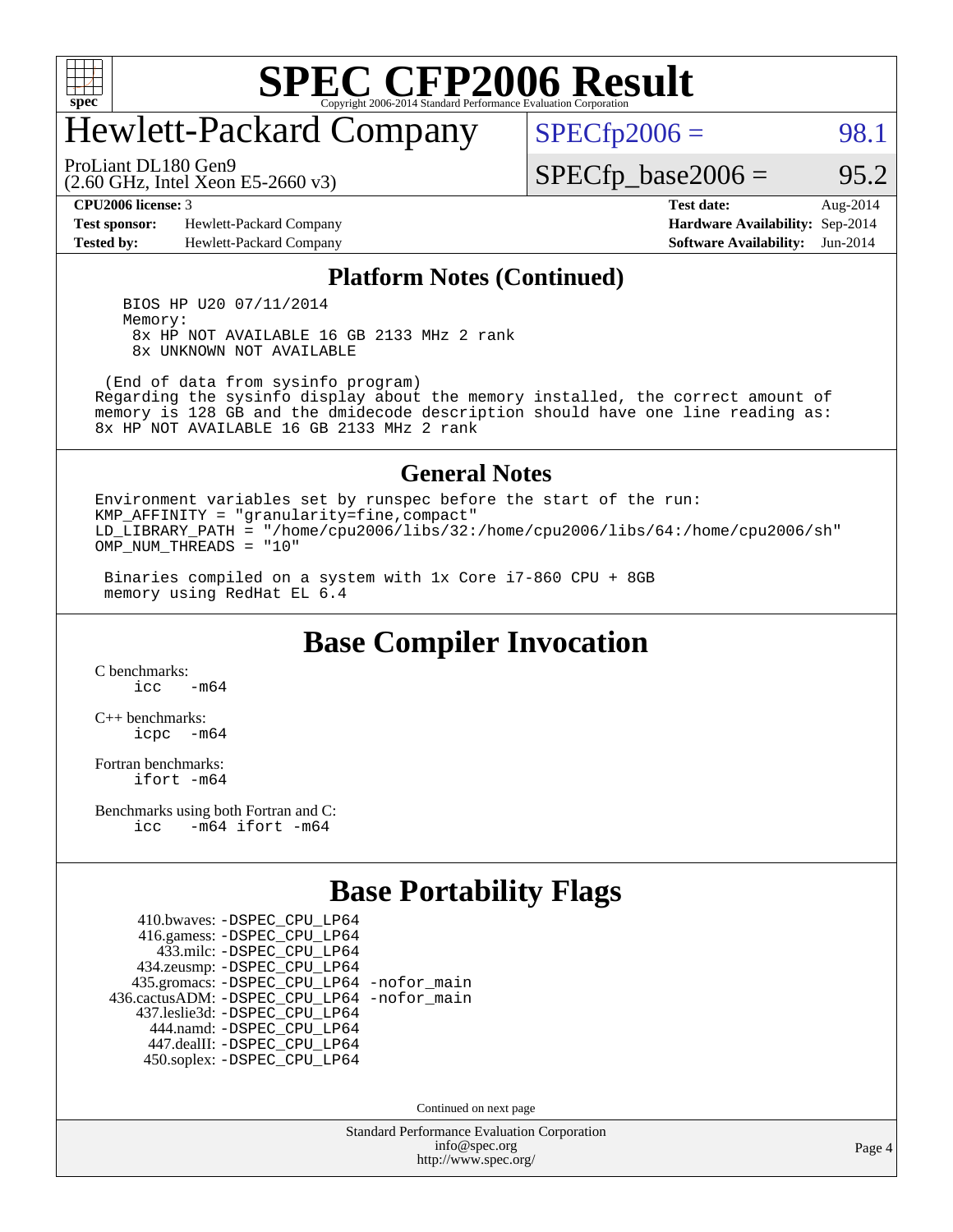

### Hewlett-Packard Company

 $SPECTp2006 = 98.1$ 

(2.60 GHz, Intel Xeon E5-2660 v3) ProLiant DL180 Gen9

 $SPECTp\_base2006 = 95.2$ 

**[Test sponsor:](http://www.spec.org/auto/cpu2006/Docs/result-fields.html#Testsponsor)** Hewlett-Packard Company **[Hardware Availability:](http://www.spec.org/auto/cpu2006/Docs/result-fields.html#HardwareAvailability)** Sep-2014 **[Tested by:](http://www.spec.org/auto/cpu2006/Docs/result-fields.html#Testedby)** Hewlett-Packard Company **[Software Availability:](http://www.spec.org/auto/cpu2006/Docs/result-fields.html#SoftwareAvailability)** Jun-2014

**[CPU2006 license:](http://www.spec.org/auto/cpu2006/Docs/result-fields.html#CPU2006license)** 3 **[Test date:](http://www.spec.org/auto/cpu2006/Docs/result-fields.html#Testdate)** Aug-2014

#### **[Platform Notes \(Continued\)](http://www.spec.org/auto/cpu2006/Docs/result-fields.html#PlatformNotes)**

 BIOS HP U20 07/11/2014 Memory: 8x HP NOT AVAILABLE 16 GB 2133 MHz 2 rank 8x UNKNOWN NOT AVAILABLE

 (End of data from sysinfo program) Regarding the sysinfo display about the memory installed, the correct amount of memory is 128 GB and the dmidecode description should have one line reading as: 8x HP NOT AVAILABLE 16 GB 2133 MHz 2 rank

#### **[General Notes](http://www.spec.org/auto/cpu2006/Docs/result-fields.html#GeneralNotes)**

Environment variables set by runspec before the start of the run: KMP\_AFFINITY = "granularity=fine,compact" LD\_LIBRARY\_PATH = "/home/cpu2006/libs/32:/home/cpu2006/libs/64:/home/cpu2006/sh" OMP NUM THREADS =  $"10"$ 

 Binaries compiled on a system with 1x Core i7-860 CPU + 8GB memory using RedHat EL 6.4

**[Base Compiler Invocation](http://www.spec.org/auto/cpu2006/Docs/result-fields.html#BaseCompilerInvocation)**

[C benchmarks](http://www.spec.org/auto/cpu2006/Docs/result-fields.html#Cbenchmarks):  $icc$   $-m64$ 

[C++ benchmarks:](http://www.spec.org/auto/cpu2006/Docs/result-fields.html#CXXbenchmarks) [icpc -m64](http://www.spec.org/cpu2006/results/res2014q3/cpu2006-20140908-31251.flags.html#user_CXXbase_intel_icpc_64bit_bedb90c1146cab66620883ef4f41a67e)

[Fortran benchmarks](http://www.spec.org/auto/cpu2006/Docs/result-fields.html#Fortranbenchmarks): [ifort -m64](http://www.spec.org/cpu2006/results/res2014q3/cpu2006-20140908-31251.flags.html#user_FCbase_intel_ifort_64bit_ee9d0fb25645d0210d97eb0527dcc06e)

[Benchmarks using both Fortran and C](http://www.spec.org/auto/cpu2006/Docs/result-fields.html#BenchmarksusingbothFortranandC): [icc -m64](http://www.spec.org/cpu2006/results/res2014q3/cpu2006-20140908-31251.flags.html#user_CC_FCbase_intel_icc_64bit_0b7121f5ab7cfabee23d88897260401c) [ifort -m64](http://www.spec.org/cpu2006/results/res2014q3/cpu2006-20140908-31251.flags.html#user_CC_FCbase_intel_ifort_64bit_ee9d0fb25645d0210d97eb0527dcc06e)

#### **[Base Portability Flags](http://www.spec.org/auto/cpu2006/Docs/result-fields.html#BasePortabilityFlags)**

 410.bwaves: [-DSPEC\\_CPU\\_LP64](http://www.spec.org/cpu2006/results/res2014q3/cpu2006-20140908-31251.flags.html#suite_basePORTABILITY410_bwaves_DSPEC_CPU_LP64) 416.gamess: [-DSPEC\\_CPU\\_LP64](http://www.spec.org/cpu2006/results/res2014q3/cpu2006-20140908-31251.flags.html#suite_basePORTABILITY416_gamess_DSPEC_CPU_LP64) 433.milc: [-DSPEC\\_CPU\\_LP64](http://www.spec.org/cpu2006/results/res2014q3/cpu2006-20140908-31251.flags.html#suite_basePORTABILITY433_milc_DSPEC_CPU_LP64) 434.zeusmp: [-DSPEC\\_CPU\\_LP64](http://www.spec.org/cpu2006/results/res2014q3/cpu2006-20140908-31251.flags.html#suite_basePORTABILITY434_zeusmp_DSPEC_CPU_LP64) 435.gromacs: [-DSPEC\\_CPU\\_LP64](http://www.spec.org/cpu2006/results/res2014q3/cpu2006-20140908-31251.flags.html#suite_basePORTABILITY435_gromacs_DSPEC_CPU_LP64) [-nofor\\_main](http://www.spec.org/cpu2006/results/res2014q3/cpu2006-20140908-31251.flags.html#user_baseLDPORTABILITY435_gromacs_f-nofor_main) 436.cactusADM: [-DSPEC\\_CPU\\_LP64](http://www.spec.org/cpu2006/results/res2014q3/cpu2006-20140908-31251.flags.html#suite_basePORTABILITY436_cactusADM_DSPEC_CPU_LP64) [-nofor\\_main](http://www.spec.org/cpu2006/results/res2014q3/cpu2006-20140908-31251.flags.html#user_baseLDPORTABILITY436_cactusADM_f-nofor_main) 437.leslie3d: [-DSPEC\\_CPU\\_LP64](http://www.spec.org/cpu2006/results/res2014q3/cpu2006-20140908-31251.flags.html#suite_basePORTABILITY437_leslie3d_DSPEC_CPU_LP64) 444.namd: [-DSPEC\\_CPU\\_LP64](http://www.spec.org/cpu2006/results/res2014q3/cpu2006-20140908-31251.flags.html#suite_basePORTABILITY444_namd_DSPEC_CPU_LP64) 447.dealII: [-DSPEC\\_CPU\\_LP64](http://www.spec.org/cpu2006/results/res2014q3/cpu2006-20140908-31251.flags.html#suite_basePORTABILITY447_dealII_DSPEC_CPU_LP64) 450.soplex: [-DSPEC\\_CPU\\_LP64](http://www.spec.org/cpu2006/results/res2014q3/cpu2006-20140908-31251.flags.html#suite_basePORTABILITY450_soplex_DSPEC_CPU_LP64)

Continued on next page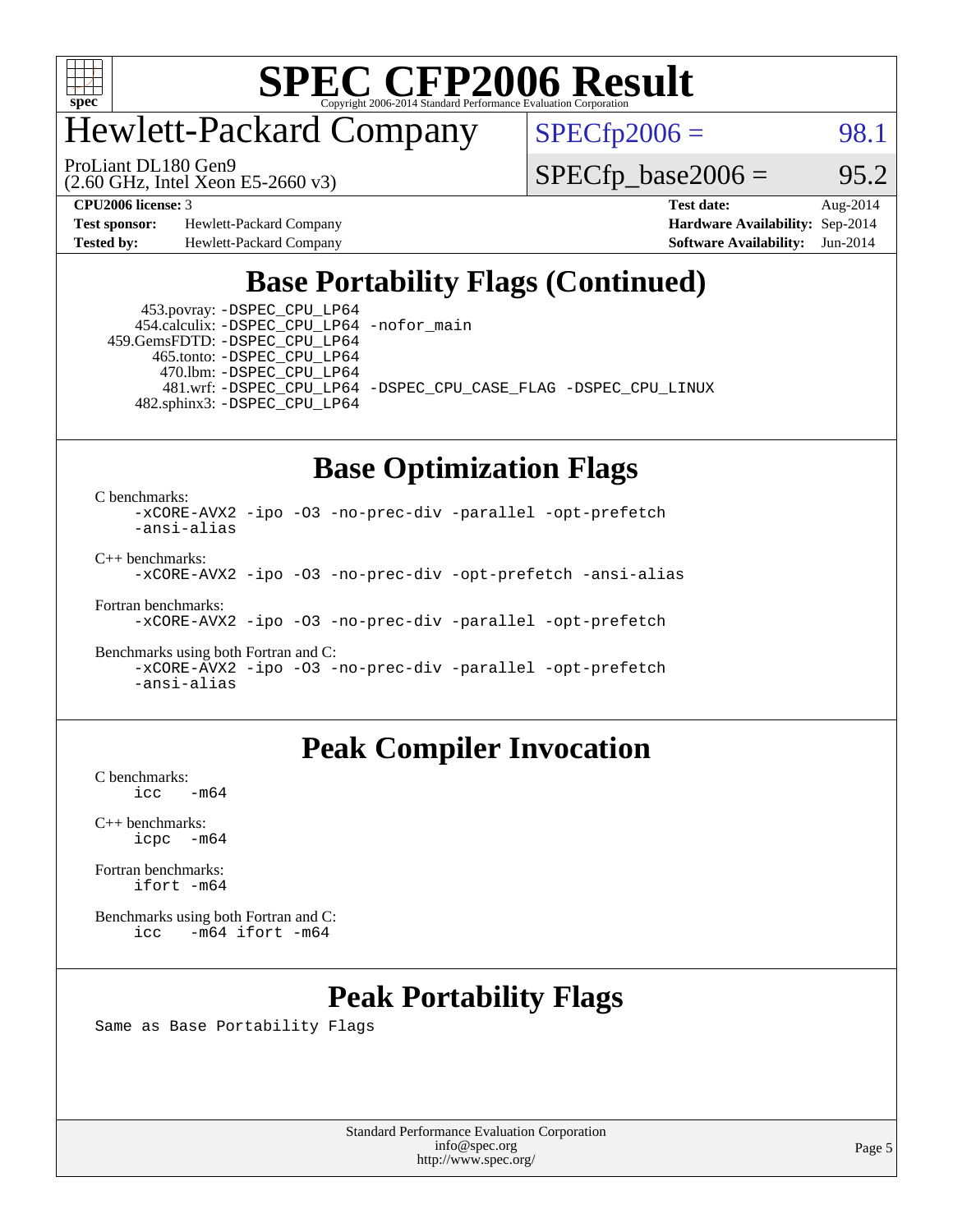

### Hewlett-Packard Company

ProLiant DL180 Gen9

 $SPECfp2006 = 98.1$  $SPECfp2006 = 98.1$ 

(2.60 GHz, Intel Xeon E5-2660 v3)

 $SPECTp\_base2006 = 95.2$ 

**[Test sponsor:](http://www.spec.org/auto/cpu2006/Docs/result-fields.html#Testsponsor)** Hewlett-Packard Company **[Hardware Availability:](http://www.spec.org/auto/cpu2006/Docs/result-fields.html#HardwareAvailability)** Sep-2014

**[CPU2006 license:](http://www.spec.org/auto/cpu2006/Docs/result-fields.html#CPU2006license)** 3 **[Test date:](http://www.spec.org/auto/cpu2006/Docs/result-fields.html#Testdate)** Aug-2014 **[Tested by:](http://www.spec.org/auto/cpu2006/Docs/result-fields.html#Testedby)** Hewlett-Packard Company **[Software Availability:](http://www.spec.org/auto/cpu2006/Docs/result-fields.html#SoftwareAvailability)** Jun-2014

#### **[Base Portability Flags \(Continued\)](http://www.spec.org/auto/cpu2006/Docs/result-fields.html#BasePortabilityFlags)**

 453.povray: [-DSPEC\\_CPU\\_LP64](http://www.spec.org/cpu2006/results/res2014q3/cpu2006-20140908-31251.flags.html#suite_basePORTABILITY453_povray_DSPEC_CPU_LP64) 454.calculix: [-DSPEC\\_CPU\\_LP64](http://www.spec.org/cpu2006/results/res2014q3/cpu2006-20140908-31251.flags.html#suite_basePORTABILITY454_calculix_DSPEC_CPU_LP64) [-nofor\\_main](http://www.spec.org/cpu2006/results/res2014q3/cpu2006-20140908-31251.flags.html#user_baseLDPORTABILITY454_calculix_f-nofor_main)

 459.GemsFDTD: [-DSPEC\\_CPU\\_LP64](http://www.spec.org/cpu2006/results/res2014q3/cpu2006-20140908-31251.flags.html#suite_basePORTABILITY459_GemsFDTD_DSPEC_CPU_LP64) 465.tonto: [-DSPEC\\_CPU\\_LP64](http://www.spec.org/cpu2006/results/res2014q3/cpu2006-20140908-31251.flags.html#suite_basePORTABILITY465_tonto_DSPEC_CPU_LP64) 470.lbm: [-DSPEC\\_CPU\\_LP64](http://www.spec.org/cpu2006/results/res2014q3/cpu2006-20140908-31251.flags.html#suite_basePORTABILITY470_lbm_DSPEC_CPU_LP64) 482.sphinx3: [-DSPEC\\_CPU\\_LP64](http://www.spec.org/cpu2006/results/res2014q3/cpu2006-20140908-31251.flags.html#suite_basePORTABILITY482_sphinx3_DSPEC_CPU_LP64)

481.wrf: [-DSPEC\\_CPU\\_LP64](http://www.spec.org/cpu2006/results/res2014q3/cpu2006-20140908-31251.flags.html#suite_basePORTABILITY481_wrf_DSPEC_CPU_LP64) [-DSPEC\\_CPU\\_CASE\\_FLAG](http://www.spec.org/cpu2006/results/res2014q3/cpu2006-20140908-31251.flags.html#b481.wrf_baseCPORTABILITY_DSPEC_CPU_CASE_FLAG) [-DSPEC\\_CPU\\_LINUX](http://www.spec.org/cpu2006/results/res2014q3/cpu2006-20140908-31251.flags.html#b481.wrf_baseCPORTABILITY_DSPEC_CPU_LINUX)

#### **[Base Optimization Flags](http://www.spec.org/auto/cpu2006/Docs/result-fields.html#BaseOptimizationFlags)**

[C benchmarks](http://www.spec.org/auto/cpu2006/Docs/result-fields.html#Cbenchmarks):

[-xCORE-AVX2](http://www.spec.org/cpu2006/results/res2014q3/cpu2006-20140908-31251.flags.html#user_CCbase_f-xAVX2_5f5fc0cbe2c9f62c816d3e45806c70d7) [-ipo](http://www.spec.org/cpu2006/results/res2014q3/cpu2006-20140908-31251.flags.html#user_CCbase_f-ipo) [-O3](http://www.spec.org/cpu2006/results/res2014q3/cpu2006-20140908-31251.flags.html#user_CCbase_f-O3) [-no-prec-div](http://www.spec.org/cpu2006/results/res2014q3/cpu2006-20140908-31251.flags.html#user_CCbase_f-no-prec-div) [-parallel](http://www.spec.org/cpu2006/results/res2014q3/cpu2006-20140908-31251.flags.html#user_CCbase_f-parallel) [-opt-prefetch](http://www.spec.org/cpu2006/results/res2014q3/cpu2006-20140908-31251.flags.html#user_CCbase_f-opt-prefetch) [-ansi-alias](http://www.spec.org/cpu2006/results/res2014q3/cpu2006-20140908-31251.flags.html#user_CCbase_f-ansi-alias)

[C++ benchmarks:](http://www.spec.org/auto/cpu2006/Docs/result-fields.html#CXXbenchmarks)

[-xCORE-AVX2](http://www.spec.org/cpu2006/results/res2014q3/cpu2006-20140908-31251.flags.html#user_CXXbase_f-xAVX2_5f5fc0cbe2c9f62c816d3e45806c70d7) [-ipo](http://www.spec.org/cpu2006/results/res2014q3/cpu2006-20140908-31251.flags.html#user_CXXbase_f-ipo) [-O3](http://www.spec.org/cpu2006/results/res2014q3/cpu2006-20140908-31251.flags.html#user_CXXbase_f-O3) [-no-prec-div](http://www.spec.org/cpu2006/results/res2014q3/cpu2006-20140908-31251.flags.html#user_CXXbase_f-no-prec-div) [-opt-prefetch](http://www.spec.org/cpu2006/results/res2014q3/cpu2006-20140908-31251.flags.html#user_CXXbase_f-opt-prefetch) [-ansi-alias](http://www.spec.org/cpu2006/results/res2014q3/cpu2006-20140908-31251.flags.html#user_CXXbase_f-ansi-alias)

[Fortran benchmarks](http://www.spec.org/auto/cpu2006/Docs/result-fields.html#Fortranbenchmarks):

[-xCORE-AVX2](http://www.spec.org/cpu2006/results/res2014q3/cpu2006-20140908-31251.flags.html#user_FCbase_f-xAVX2_5f5fc0cbe2c9f62c816d3e45806c70d7) [-ipo](http://www.spec.org/cpu2006/results/res2014q3/cpu2006-20140908-31251.flags.html#user_FCbase_f-ipo) [-O3](http://www.spec.org/cpu2006/results/res2014q3/cpu2006-20140908-31251.flags.html#user_FCbase_f-O3) [-no-prec-div](http://www.spec.org/cpu2006/results/res2014q3/cpu2006-20140908-31251.flags.html#user_FCbase_f-no-prec-div) [-parallel](http://www.spec.org/cpu2006/results/res2014q3/cpu2006-20140908-31251.flags.html#user_FCbase_f-parallel) [-opt-prefetch](http://www.spec.org/cpu2006/results/res2014q3/cpu2006-20140908-31251.flags.html#user_FCbase_f-opt-prefetch)

[Benchmarks using both Fortran and C](http://www.spec.org/auto/cpu2006/Docs/result-fields.html#BenchmarksusingbothFortranandC): [-xCORE-AVX2](http://www.spec.org/cpu2006/results/res2014q3/cpu2006-20140908-31251.flags.html#user_CC_FCbase_f-xAVX2_5f5fc0cbe2c9f62c816d3e45806c70d7) [-ipo](http://www.spec.org/cpu2006/results/res2014q3/cpu2006-20140908-31251.flags.html#user_CC_FCbase_f-ipo) [-O3](http://www.spec.org/cpu2006/results/res2014q3/cpu2006-20140908-31251.flags.html#user_CC_FCbase_f-O3) [-no-prec-div](http://www.spec.org/cpu2006/results/res2014q3/cpu2006-20140908-31251.flags.html#user_CC_FCbase_f-no-prec-div) [-parallel](http://www.spec.org/cpu2006/results/res2014q3/cpu2006-20140908-31251.flags.html#user_CC_FCbase_f-parallel) [-opt-prefetch](http://www.spec.org/cpu2006/results/res2014q3/cpu2006-20140908-31251.flags.html#user_CC_FCbase_f-opt-prefetch) [-ansi-alias](http://www.spec.org/cpu2006/results/res2014q3/cpu2006-20140908-31251.flags.html#user_CC_FCbase_f-ansi-alias)

#### **[Peak Compiler Invocation](http://www.spec.org/auto/cpu2006/Docs/result-fields.html#PeakCompilerInvocation)**

[C benchmarks](http://www.spec.org/auto/cpu2006/Docs/result-fields.html#Cbenchmarks):  $-m64$ 

[C++ benchmarks:](http://www.spec.org/auto/cpu2006/Docs/result-fields.html#CXXbenchmarks) [icpc -m64](http://www.spec.org/cpu2006/results/res2014q3/cpu2006-20140908-31251.flags.html#user_CXXpeak_intel_icpc_64bit_bedb90c1146cab66620883ef4f41a67e)

[Fortran benchmarks](http://www.spec.org/auto/cpu2006/Docs/result-fields.html#Fortranbenchmarks): [ifort -m64](http://www.spec.org/cpu2006/results/res2014q3/cpu2006-20140908-31251.flags.html#user_FCpeak_intel_ifort_64bit_ee9d0fb25645d0210d97eb0527dcc06e)

[Benchmarks using both Fortran and C](http://www.spec.org/auto/cpu2006/Docs/result-fields.html#BenchmarksusingbothFortranandC): [icc -m64](http://www.spec.org/cpu2006/results/res2014q3/cpu2006-20140908-31251.flags.html#user_CC_FCpeak_intel_icc_64bit_0b7121f5ab7cfabee23d88897260401c) [ifort -m64](http://www.spec.org/cpu2006/results/res2014q3/cpu2006-20140908-31251.flags.html#user_CC_FCpeak_intel_ifort_64bit_ee9d0fb25645d0210d97eb0527dcc06e)

#### **[Peak Portability Flags](http://www.spec.org/auto/cpu2006/Docs/result-fields.html#PeakPortabilityFlags)**

Same as Base Portability Flags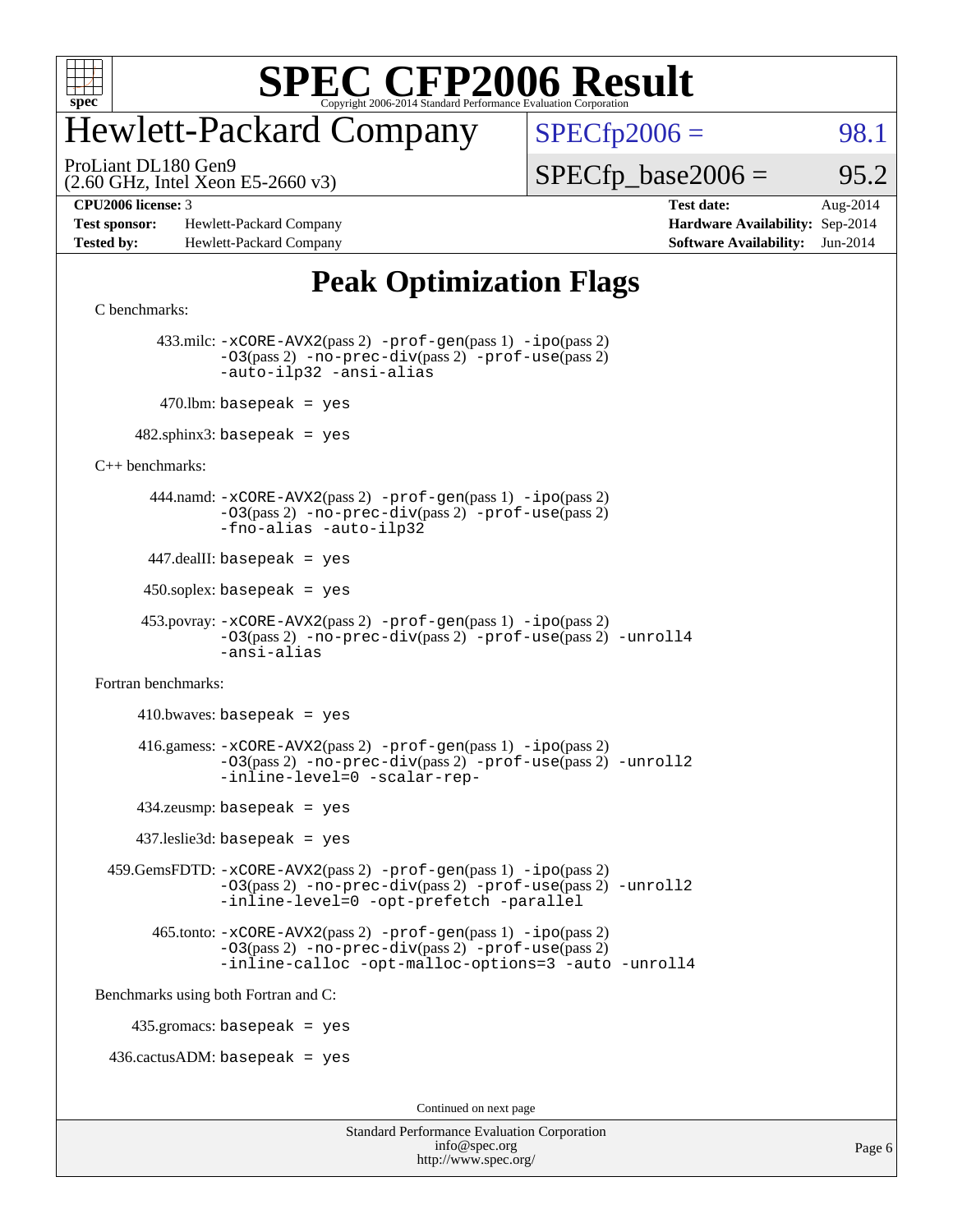

### Hewlett-Packard Company

ProLiant DL180 Gen9

 $SPECTp2006 = 98.1$ 

(2.60 GHz, Intel Xeon E5-2660 v3)

 $SPECTp\_base2006 = 95.2$ 

**[Test sponsor:](http://www.spec.org/auto/cpu2006/Docs/result-fields.html#Testsponsor)** Hewlett-Packard Company **[Hardware Availability:](http://www.spec.org/auto/cpu2006/Docs/result-fields.html#HardwareAvailability)** Sep-2014 **[Tested by:](http://www.spec.org/auto/cpu2006/Docs/result-fields.html#Testedby)** Hewlett-Packard Company **[Software Availability:](http://www.spec.org/auto/cpu2006/Docs/result-fields.html#SoftwareAvailability)** Jun-2014

**[CPU2006 license:](http://www.spec.org/auto/cpu2006/Docs/result-fields.html#CPU2006license)** 3 **[Test date:](http://www.spec.org/auto/cpu2006/Docs/result-fields.html#Testdate)** Aug-2014

#### **[Peak Optimization Flags](http://www.spec.org/auto/cpu2006/Docs/result-fields.html#PeakOptimizationFlags)**

```
C benchmarks:
```
 433.milc: [-xCORE-AVX2](http://www.spec.org/cpu2006/results/res2014q3/cpu2006-20140908-31251.flags.html#user_peakPASS2_CFLAGSPASS2_LDFLAGS433_milc_f-xAVX2_5f5fc0cbe2c9f62c816d3e45806c70d7)(pass 2) [-prof-gen](http://www.spec.org/cpu2006/results/res2014q3/cpu2006-20140908-31251.flags.html#user_peakPASS1_CFLAGSPASS1_LDFLAGS433_milc_prof_gen_e43856698f6ca7b7e442dfd80e94a8fc)(pass 1) [-ipo](http://www.spec.org/cpu2006/results/res2014q3/cpu2006-20140908-31251.flags.html#user_peakPASS2_CFLAGSPASS2_LDFLAGS433_milc_f-ipo)(pass 2) [-O3](http://www.spec.org/cpu2006/results/res2014q3/cpu2006-20140908-31251.flags.html#user_peakPASS2_CFLAGSPASS2_LDFLAGS433_milc_f-O3)(pass 2) [-no-prec-div](http://www.spec.org/cpu2006/results/res2014q3/cpu2006-20140908-31251.flags.html#user_peakPASS2_CFLAGSPASS2_LDFLAGS433_milc_f-no-prec-div)(pass 2) [-prof-use](http://www.spec.org/cpu2006/results/res2014q3/cpu2006-20140908-31251.flags.html#user_peakPASS2_CFLAGSPASS2_LDFLAGS433_milc_prof_use_bccf7792157ff70d64e32fe3e1250b55)(pass 2) [-auto-ilp32](http://www.spec.org/cpu2006/results/res2014q3/cpu2006-20140908-31251.flags.html#user_peakCOPTIMIZE433_milc_f-auto-ilp32) [-ansi-alias](http://www.spec.org/cpu2006/results/res2014q3/cpu2006-20140908-31251.flags.html#user_peakCOPTIMIZE433_milc_f-ansi-alias)  $470$ .lbm: basepeak = yes

 $482$ .sphinx3: basepeak = yes

[C++ benchmarks:](http://www.spec.org/auto/cpu2006/Docs/result-fields.html#CXXbenchmarks)

 444.namd: [-xCORE-AVX2](http://www.spec.org/cpu2006/results/res2014q3/cpu2006-20140908-31251.flags.html#user_peakPASS2_CXXFLAGSPASS2_LDFLAGS444_namd_f-xAVX2_5f5fc0cbe2c9f62c816d3e45806c70d7)(pass 2) [-prof-gen](http://www.spec.org/cpu2006/results/res2014q3/cpu2006-20140908-31251.flags.html#user_peakPASS1_CXXFLAGSPASS1_LDFLAGS444_namd_prof_gen_e43856698f6ca7b7e442dfd80e94a8fc)(pass 1) [-ipo](http://www.spec.org/cpu2006/results/res2014q3/cpu2006-20140908-31251.flags.html#user_peakPASS2_CXXFLAGSPASS2_LDFLAGS444_namd_f-ipo)(pass 2) [-O3](http://www.spec.org/cpu2006/results/res2014q3/cpu2006-20140908-31251.flags.html#user_peakPASS2_CXXFLAGSPASS2_LDFLAGS444_namd_f-O3)(pass 2) [-no-prec-div](http://www.spec.org/cpu2006/results/res2014q3/cpu2006-20140908-31251.flags.html#user_peakPASS2_CXXFLAGSPASS2_LDFLAGS444_namd_f-no-prec-div)(pass 2) [-prof-use](http://www.spec.org/cpu2006/results/res2014q3/cpu2006-20140908-31251.flags.html#user_peakPASS2_CXXFLAGSPASS2_LDFLAGS444_namd_prof_use_bccf7792157ff70d64e32fe3e1250b55)(pass 2) [-fno-alias](http://www.spec.org/cpu2006/results/res2014q3/cpu2006-20140908-31251.flags.html#user_peakCXXOPTIMIZEOPTIMIZE444_namd_f-no-alias_694e77f6c5a51e658e82ccff53a9e63a) [-auto-ilp32](http://www.spec.org/cpu2006/results/res2014q3/cpu2006-20140908-31251.flags.html#user_peakCXXOPTIMIZE444_namd_f-auto-ilp32)

447.dealII: basepeak = yes

 $450$ .soplex: basepeak = yes

```
 453.povray: -xCORE-AVX2(pass 2) -prof-gen(pass 1) -ipo(pass 2)
-O3(pass 2) -no-prec-div(pass 2) -prof-use(pass 2) -unroll4
-ansi-alias
```
[Fortran benchmarks](http://www.spec.org/auto/cpu2006/Docs/result-fields.html#Fortranbenchmarks):

 $410.bwaves: basepeak = yes$  416.gamess: [-xCORE-AVX2](http://www.spec.org/cpu2006/results/res2014q3/cpu2006-20140908-31251.flags.html#user_peakPASS2_FFLAGSPASS2_LDFLAGS416_gamess_f-xAVX2_5f5fc0cbe2c9f62c816d3e45806c70d7)(pass 2) [-prof-gen](http://www.spec.org/cpu2006/results/res2014q3/cpu2006-20140908-31251.flags.html#user_peakPASS1_FFLAGSPASS1_LDFLAGS416_gamess_prof_gen_e43856698f6ca7b7e442dfd80e94a8fc)(pass 1) [-ipo](http://www.spec.org/cpu2006/results/res2014q3/cpu2006-20140908-31251.flags.html#user_peakPASS2_FFLAGSPASS2_LDFLAGS416_gamess_f-ipo)(pass 2) [-O3](http://www.spec.org/cpu2006/results/res2014q3/cpu2006-20140908-31251.flags.html#user_peakPASS2_FFLAGSPASS2_LDFLAGS416_gamess_f-O3)(pass 2) [-no-prec-div](http://www.spec.org/cpu2006/results/res2014q3/cpu2006-20140908-31251.flags.html#user_peakPASS2_FFLAGSPASS2_LDFLAGS416_gamess_f-no-prec-div)(pass 2) [-prof-use](http://www.spec.org/cpu2006/results/res2014q3/cpu2006-20140908-31251.flags.html#user_peakPASS2_FFLAGSPASS2_LDFLAGS416_gamess_prof_use_bccf7792157ff70d64e32fe3e1250b55)(pass 2) [-unroll2](http://www.spec.org/cpu2006/results/res2014q3/cpu2006-20140908-31251.flags.html#user_peakOPTIMIZE416_gamess_f-unroll_784dae83bebfb236979b41d2422d7ec2) [-inline-level=0](http://www.spec.org/cpu2006/results/res2014q3/cpu2006-20140908-31251.flags.html#user_peakOPTIMIZE416_gamess_f-inline-level_318d07a09274ad25e8d15dbfaa68ba50) [-scalar-rep-](http://www.spec.org/cpu2006/results/res2014q3/cpu2006-20140908-31251.flags.html#user_peakOPTIMIZE416_gamess_f-disablescalarrep_abbcad04450fb118e4809c81d83c8a1d) 434.zeusmp: basepeak = yes 437.leslie3d: basepeak = yes

 459.GemsFDTD: [-xCORE-AVX2](http://www.spec.org/cpu2006/results/res2014q3/cpu2006-20140908-31251.flags.html#user_peakPASS2_FFLAGSPASS2_LDFLAGS459_GemsFDTD_f-xAVX2_5f5fc0cbe2c9f62c816d3e45806c70d7)(pass 2) [-prof-gen](http://www.spec.org/cpu2006/results/res2014q3/cpu2006-20140908-31251.flags.html#user_peakPASS1_FFLAGSPASS1_LDFLAGS459_GemsFDTD_prof_gen_e43856698f6ca7b7e442dfd80e94a8fc)(pass 1) [-ipo](http://www.spec.org/cpu2006/results/res2014q3/cpu2006-20140908-31251.flags.html#user_peakPASS2_FFLAGSPASS2_LDFLAGS459_GemsFDTD_f-ipo)(pass 2) [-O3](http://www.spec.org/cpu2006/results/res2014q3/cpu2006-20140908-31251.flags.html#user_peakPASS2_FFLAGSPASS2_LDFLAGS459_GemsFDTD_f-O3)(pass 2) [-no-prec-div](http://www.spec.org/cpu2006/results/res2014q3/cpu2006-20140908-31251.flags.html#user_peakPASS2_FFLAGSPASS2_LDFLAGS459_GemsFDTD_f-no-prec-div)(pass 2) [-prof-use](http://www.spec.org/cpu2006/results/res2014q3/cpu2006-20140908-31251.flags.html#user_peakPASS2_FFLAGSPASS2_LDFLAGS459_GemsFDTD_prof_use_bccf7792157ff70d64e32fe3e1250b55)(pass 2) [-unroll2](http://www.spec.org/cpu2006/results/res2014q3/cpu2006-20140908-31251.flags.html#user_peakOPTIMIZE459_GemsFDTD_f-unroll_784dae83bebfb236979b41d2422d7ec2) [-inline-level=0](http://www.spec.org/cpu2006/results/res2014q3/cpu2006-20140908-31251.flags.html#user_peakOPTIMIZE459_GemsFDTD_f-inline-level_318d07a09274ad25e8d15dbfaa68ba50) [-opt-prefetch](http://www.spec.org/cpu2006/results/res2014q3/cpu2006-20140908-31251.flags.html#user_peakOPTIMIZE459_GemsFDTD_f-opt-prefetch) [-parallel](http://www.spec.org/cpu2006/results/res2014q3/cpu2006-20140908-31251.flags.html#user_peakOPTIMIZE459_GemsFDTD_f-parallel)

 465.tonto: [-xCORE-AVX2](http://www.spec.org/cpu2006/results/res2014q3/cpu2006-20140908-31251.flags.html#user_peakPASS2_FFLAGSPASS2_LDFLAGS465_tonto_f-xAVX2_5f5fc0cbe2c9f62c816d3e45806c70d7)(pass 2) [-prof-gen](http://www.spec.org/cpu2006/results/res2014q3/cpu2006-20140908-31251.flags.html#user_peakPASS1_FFLAGSPASS1_LDFLAGS465_tonto_prof_gen_e43856698f6ca7b7e442dfd80e94a8fc)(pass 1) [-ipo](http://www.spec.org/cpu2006/results/res2014q3/cpu2006-20140908-31251.flags.html#user_peakPASS2_FFLAGSPASS2_LDFLAGS465_tonto_f-ipo)(pass 2) [-O3](http://www.spec.org/cpu2006/results/res2014q3/cpu2006-20140908-31251.flags.html#user_peakPASS2_FFLAGSPASS2_LDFLAGS465_tonto_f-O3)(pass 2) [-no-prec-div](http://www.spec.org/cpu2006/results/res2014q3/cpu2006-20140908-31251.flags.html#user_peakPASS2_FFLAGSPASS2_LDFLAGS465_tonto_f-no-prec-div)(pass 2) [-prof-use](http://www.spec.org/cpu2006/results/res2014q3/cpu2006-20140908-31251.flags.html#user_peakPASS2_FFLAGSPASS2_LDFLAGS465_tonto_prof_use_bccf7792157ff70d64e32fe3e1250b55)(pass 2) [-inline-calloc](http://www.spec.org/cpu2006/results/res2014q3/cpu2006-20140908-31251.flags.html#user_peakOPTIMIZE465_tonto_f-inline-calloc) [-opt-malloc-options=3](http://www.spec.org/cpu2006/results/res2014q3/cpu2006-20140908-31251.flags.html#user_peakOPTIMIZE465_tonto_f-opt-malloc-options_13ab9b803cf986b4ee62f0a5998c2238) [-auto](http://www.spec.org/cpu2006/results/res2014q3/cpu2006-20140908-31251.flags.html#user_peakOPTIMIZE465_tonto_f-auto) [-unroll4](http://www.spec.org/cpu2006/results/res2014q3/cpu2006-20140908-31251.flags.html#user_peakOPTIMIZE465_tonto_f-unroll_4e5e4ed65b7fd20bdcd365bec371b81f)

[Benchmarks using both Fortran and C](http://www.spec.org/auto/cpu2006/Docs/result-fields.html#BenchmarksusingbothFortranandC):

435.gromacs: basepeak = yes

 $436.cactusADM: basepeak = yes$ 

Continued on next page

| <b>Standard Performance Evaluation Corporation</b> |
|----------------------------------------------------|
| info@spec.org                                      |
| http://www.spec.org/                               |